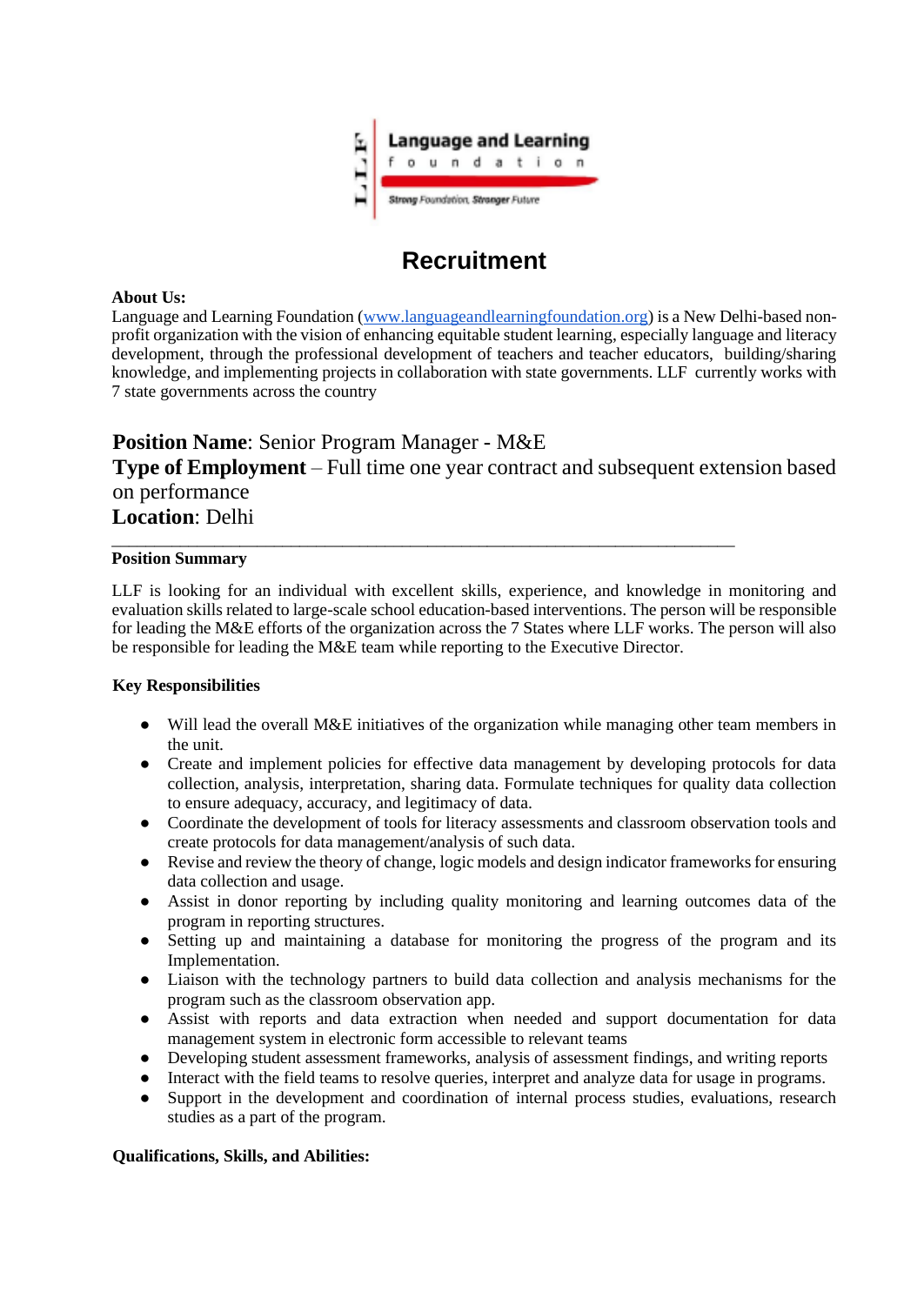

# **Recruitment**

#### **About Us:**

Language and Learning Foundation (www.languageandlearningfoundation.org) is a New Delhi-based nonprofit organization with the vision of enhancing equitable student learning, especially language and literacy development, through the professional development of teachers and teacher educators, building/sharing knowledge, and implementing projects in collaboration with state governments. LLF currently works with 7 state governments across the country

# **Position Name**: Senior Program Manager - M&E **Type of Employment** – Full time one year contract and subsequent extension based on performance **Location**: Delhi

\_\_\_\_\_\_\_\_\_\_\_\_\_\_\_\_\_\_\_\_\_\_\_\_\_\_\_\_\_\_\_\_\_\_\_\_\_\_\_\_\_\_\_\_\_\_\_\_\_\_\_\_\_\_\_\_\_\_\_\_\_\_\_\_\_\_\_\_\_\_\_\_\_

#### **Position Summary**

LLF is looking for an individual with excellent skills, experience, and knowledge in monitoring and evaluation skills related to large-scale school education-based interventions. The person will be responsible for leading the M&E efforts of the organization across the 7 States where LLF works. The person will also be responsible for leading the M&E team while reporting to the Executive Director.

#### **Key Responsibilities**

- Will lead the overall M&E initiatives of the organization while managing other team members in the unit.
- Create and implement policies for effective data management by developing protocols for data collection, analysis, interpretation, sharing data. Formulate techniques for quality data collection to ensure adequacy, accuracy, and legitimacy of data.
- Coordinate the development of tools for literacy assessments and classroom observation tools and create protocols for data management/analysis of such data.
- Revise and review the theory of change, logic models and design indicator frameworks for ensuring data collection and usage.
- Assist in donor reporting by including quality monitoring and learning outcomes data of the program in reporting structures.
- Setting up and maintaining a database for monitoring the progress of the program and its Implementation.
- Liaison with the technology partners to build data collection and analysis mechanisms for the program such as the classroom observation app.
- Assist with reports and data extraction when needed and support documentation for data management system in electronic form accessible to relevant teams
- Developing student assessment frameworks, analysis of assessment findings, and writing reports
- Interact with the field teams to resolve queries, interpret and analyze data for usage in programs.
- Support in the development and coordination of internal process studies, evaluations, research studies as a part of the program.

#### **Qualifications, Skills, and Abilities:**